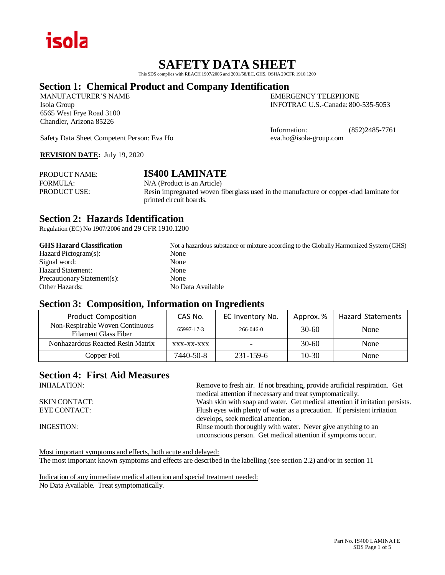

# **SAFETY DATA SHEET**

This SDS complies with REACH 1907/2006 and 2001/58/EC, GHS, OSHA 29CFR 1910.1200

# **Section 1: Chemical Product and Company Identification**

MANUFACTURER'S NAME EMERGENCY TELEPHONE 6565 West Frye Road 3100 Chandler, Arizona 85226

Isola Group INFOTRAC U.S.-Canada: 800-535-5053

Information: (852)2485-7761

Safety Data Sheet Competent Person: Eva Ho eva.ho@isola-group.com

**REVISION DATE:** July 19, 2020

| <b>PRODUCT NAME:</b> | <b>IS400 LAMINATE</b>                                                                                             |
|----------------------|-------------------------------------------------------------------------------------------------------------------|
| FORMULA:             | N/A (Product is an Article)                                                                                       |
| <b>PRODUCT USE:</b>  | Resin impregnated woven fiberglass used in the manufacture or copper-clad laminate for<br>printed circuit boards. |

# **Section 2: Hazards Identification**

Regulation (EC) No 1907/2006 and 29 CFR 1910.1200

| <b>GHS Hazard Classification</b> | Not a hazardous substance or mixture according to the Globally Harmonized System (GHS) |
|----------------------------------|----------------------------------------------------------------------------------------|
| Hazard Pictogram(s):             | None                                                                                   |
| Signal word:                     | None                                                                                   |
| <b>Hazard Statement:</b>         | None                                                                                   |
| Precautionary Statement(s):      | None                                                                                   |
| Other Hazards:                   | No Data Available                                                                      |

### **Section 3: Composition, Information on Ingredients**

| <b>Product Composition</b>                                     | CAS No.    | EC Inventory No. | Approx. % | <b>Hazard Statements</b> |
|----------------------------------------------------------------|------------|------------------|-----------|--------------------------|
| Non-Respirable Woven Continuous<br><b>Filament Glass Fiber</b> | 65997-17-3 | $266 - 046 - 0$  | $30-60$   | None                     |
| Nonhazardous Reacted Resin Matrix                              | XXX-XX-XXX |                  | $30-60$   | None                     |
| Copper Foil                                                    | 7440-50-8  | 231-159-6        | $10-30$   | None                     |

# **Section 4: First Aid Measures**

| <b>INHALATION:</b>   | Remove to fresh air. If not breathing, provide artificial respiration. Get   |
|----------------------|------------------------------------------------------------------------------|
|                      | medical attention if necessary and treat symptomatically.                    |
| <b>SKIN CONTACT:</b> | Wash skin with soap and water. Get medical attention if irritation persists. |
| EYE CONTACT:         | Flush eyes with plenty of water as a precaution. If persistent irritation    |
|                      | develops, seek medical attention.                                            |
| INGESTION:           | Rinse mouth thoroughly with water. Never give anything to an                 |
|                      | unconscious person. Get medical attention if symptoms occur.                 |

Most important symptoms and effects, both acute and delayed: The most important known symptoms and effects are described in the labelling (see section 2.2) and/or in section 11

Indication of any immediate medical attention and special treatment needed: No Data Available. Treat symptomatically.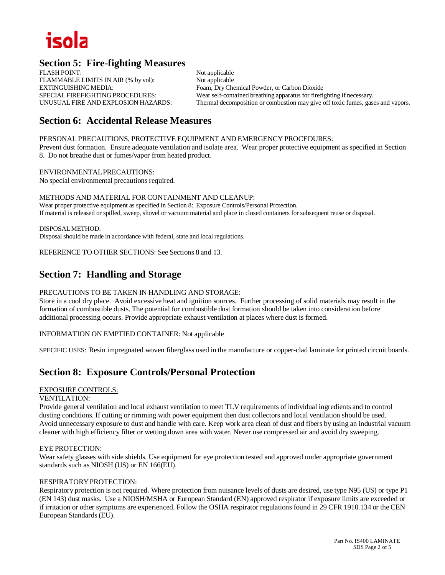# iso

# **Section 5: Fire-fighting Measures**

FLASH POINT: Not applicable FLAMMABLE LIMITS IN AIR (% by vol): Not applicable EXTINGUISHINGMEDIA: Foam, DryChemical Powder, or Carbon Dioxide

SPECIALFIREFIGHTING PROCEDURES: Wear self-contained breathing apparatus for firefighting if necessary. UNUSUAL FIRE AND EXPLOSION HAZARDS: Thermal decomposition or combustion may give off toxic fumes, gases and vapors.

# **Section 6: Accidental Release Measures**

PERSONAL PRECAUTIONS, PROTECTIVE EQUIPMENT AND EMERGENCY PROCEDURES:

Prevent dust formation. Ensure adequate ventilation and isolate area. Wear proper protective equipment as specified in Section 8. Do not breathe dust or fumes/vapor from heated product.

ENVIRONMENTALPRECAUTIONS: No special environmental precautions required.

METHODS AND MATERIAL FOR CONTAINMENT AND CLEANUP: Wear proper protective equipment as specified in Section 8: Exposure Controls/Personal Protection. If material is released or spilled, sweep, shovel or vacuum material and place in closed containers for subsequent reuse or disposal.

DISPOSALMETHOD: Disposal should be made in accordance with federal, state and local regulations.

REFERENCE TO OTHER SECTIONS: See Sections 8 and 13.

# **Section 7: Handling and Storage**

#### PRECAUTIONS TO BE TAKEN IN HANDLING AND STORAGE:

Store in a cool dry place. Avoid excessive heat and ignition sources. Further processing of solid materials may result in the formation of combustible dusts. The potential for combustible dust formation should be taken into consideration before additional processing occurs. Provide appropriate exhaust ventilation at places where dust is formed.

INFORMATION ON EMPTIED CONTAINER: Not applicable

SPECIFIC USES: Resin impregnated woven fiberglass used in the manufacture or copper-clad laminate for printed circuit boards.

# **Section 8: Exposure Controls/Personal Protection**

#### EXPOSURE CONTROLS:

#### VENTILATION:

Provide general ventilation and local exhaust ventilation to meet TLV requirements of individual ingredients and to control dusting conditions. If cutting or rimming with power equipment then dust collectors and local ventilation should be used. Avoid unnecessary exposure to dust and handle with care. Keep work area clean of dust and fibers by using an industrial vacuum cleaner with high efficiency filter or wetting down area with water. Never use compressed air and avoid dry sweeping.

#### EYE PROTECTION:

Wear safety glasses with side shields. Use equipment for eye protection tested and approved under appropriate government standards such as NIOSH (US) or EN 166(EU).

### RESPIRATORY PROTECTION:

Respiratory protection is not required. Where protection from nuisance levels of dusts are desired, use type N95 (US) or type P1 (EN 143) dust masks. Use a NIOSH/MSHA or European Standard (EN) approved respirator if exposure limits are exceeded or if irritation or other symptoms are experienced. Follow the OSHA respirator regulations found in 29 CFR 1910.134 or the CEN European Standards(EU).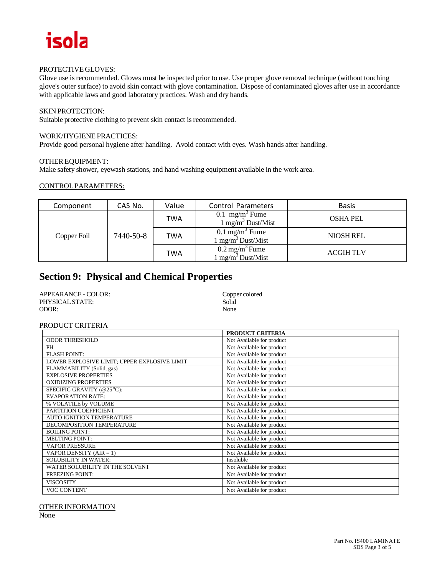# isola

#### PROTECTIVE GLOVES:

Glove use is recommended. Gloves must be inspected prior to use. Use proper glove removal technique (without touching glove's outer surface) to avoid skin contact with glove contamination. Dispose of contaminated gloves after use in accordance with applicable laws and good laboratory practices. Wash and dry hands.

#### SKIN PROTECTION:

Suitable protective clothing to prevent skin contact is recommended.

#### WORK/HYGIENE PRACTICES:

Provide good personal hygiene after handling. Avoid contact with eyes. Wash hands after handling.

#### OTHER EQUIPMENT:

Make safety shower, eyewash stations, and hand washing equipment available in the work area.

#### CONTROLPARAMETERS:

| Component   | CAS No.   | Value | Control Parameters                                           | <b>Basis</b>     |
|-------------|-----------|-------|--------------------------------------------------------------|------------------|
| Copper Foil | 7440-50-8 | TWA   | 0.1 mg/m <sup>3</sup> Fume<br>$1 \text{ mg/m}^3$ Dust/Mist   | <b>OSHA PEL</b>  |
|             |           | TWA   | $0.1 \text{ mg/m}^3$ Fume<br>$1 \text{ mg/m}^3$ Dust/Mist    | <b>NIOSH REL</b> |
|             |           | TWA   | $0.2 \,\mathrm{mg/m^3}$ Fume<br>$1 \text{ mg/m}^3$ Dust/Mist | <b>ACGIHTLV</b>  |

# **Section 9: Physical and Chemical Properties**

| APPEARANCE - COLOR: | Copper colored |
|---------------------|----------------|
| PHYSICAL STATE:     | Solid          |
| ODOR:               | None           |

#### PRODUCT CRITERIA

|                                              | PRODUCT CRITERIA          |
|----------------------------------------------|---------------------------|
| <b>ODOR THRESHOLD</b>                        | Not Available for product |
| PH                                           | Not Available for product |
| <b>FLASH POINT:</b>                          | Not Available for product |
| LOWER EXPLOSIVE LIMIT; UPPER EXPLOSIVE LIMIT | Not Available for product |
| FLAMMABILITY (Solid, gas)                    | Not Available for product |
| <b>EXPLOSIVE PROPERTIES</b>                  | Not Available for product |
| <b>OXIDIZING PROPERTIES</b>                  | Not Available for product |
| SPECIFIC GRAVITY (@25 °C):                   | Not Available for product |
| <b>EVAPORATION RATE:</b>                     | Not Available for product |
| % VOLATILE by VOLUME                         | Not Available for product |
| PARTITION COEFFICIENT                        | Not Available for product |
| <b>AUTO IGNITION TEMPERATURE</b>             | Not Available for product |
| DECOMPOSITION TEMPERATURE                    | Not Available for product |
| <b>BOILING POINT:</b>                        | Not Available for product |
| <b>MELTING POINT:</b>                        | Not Available for product |
| <b>VAPOR PRESSURE</b>                        | Not Available for product |
| VAPOR DENSITY (AIR = 1)                      | Not Available for product |
| <b>SOLUBILITY IN WATER:</b>                  | Insoluble                 |
| WATER SOLUBILITY IN THE SOLVENT              | Not Available for product |
| <b>FREEZING POINT:</b>                       | Not Available for product |
| <b>VISCOSITY</b>                             | Not Available for product |
| <b>VOC CONTENT</b>                           | Not Available for product |

#### OTHERINFORMATION

None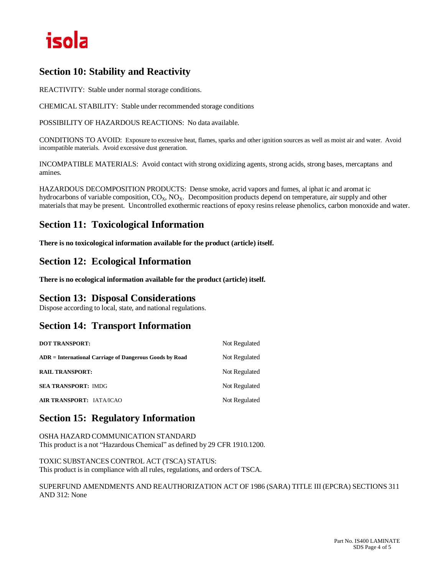# isola

# **Section 10: Stability and Reactivity**

REACTIVITY: Stable under normal storage conditions.

CHEMICAL STABILITY: Stable under recommended storage conditions

POSSIBILITY OF HAZARDOUS REACTIONS: No data available.

CONDITIONS TO AVOID: Exposure to excessive heat, flames, sparks and other ignition sources as well as moist air and water. Avoid incompatible materials. Avoid excessive dust generation.

INCOMPATIBLE MATERIALS: Avoid contact with strong oxidizing agents, strong acids, strong bases, mercaptans and amines.

HAZARDOUS DECOMPOSITION PRODUCTS: Dense smoke, acrid vapors and fumes, al iphat ic and aromat ic hydrocarbons of variable composition,  $CO_x$ ,  $NO_x$ . Decomposition products depend on temperature, air supply and other materialsthat may be present. Uncontrolled exothermic reactions of epoxy resinsrelease phenolics, carbon monoxide and water.

# **Section 11: Toxicological Information**

**There is no toxicological information available for the product (article) itself.**

# **Section 12: Ecological Information**

**There is no ecological information available for the product (article) itself.**

# **Section 13: Disposal Considerations**

Dispose according to local, state, and national regulations.

# **Section 14: Transport Information**

| <b>DOT TRANSPORT:</b>                                   | Not Regulated |
|---------------------------------------------------------|---------------|
| ADR = International Carriage of Dangerous Goods by Road | Not Regulated |
| <b>RAIL TRANSPORT:</b>                                  | Not Regulated |
| <b>SEA TRANSPORT: IMDG</b>                              | Not Regulated |
| AIR TRANSPORT: IATA/ICAO                                | Not Regulated |

# **Section 15: Regulatory Information**

OSHA HAZARD COMMUNICATION STANDARD This product is a not "Hazardous Chemical" as defined by 29 CFR 1910.1200.

TOXIC SUBSTANCES CONTROL ACT (TSCA) STATUS: This product is in compliance with all rules, regulations, and orders of TSCA.

SUPERFUND AMENDMENTS AND REAUTHORIZATION ACT OF 1986 (SARA) TITLE III (EPCRA) SECTIONS 311 AND 312: None